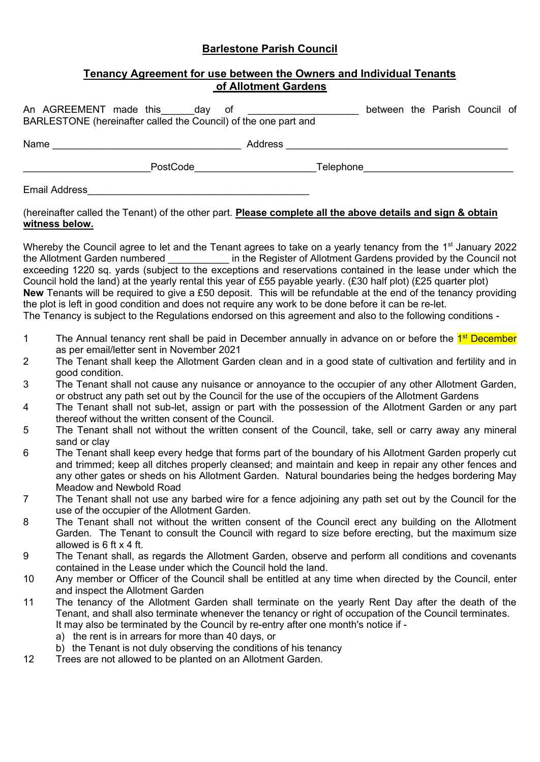# **Barlestone Parish Council**

## **Tenancy Agreement for use between the Owners and Individual Tenants of Allotment Gardens**

| An AGREEMENT made this<br>dav<br>ot<br>BARLESTONE (hereinafter called the Council) of the one part and |           | between the Parish Council of |  |  |
|--------------------------------------------------------------------------------------------------------|-----------|-------------------------------|--|--|
| Name                                                                                                   | Address   |                               |  |  |
| PostCode                                                                                               | Telephone |                               |  |  |

Email Address\_\_\_\_\_\_\_\_\_\_\_\_\_\_\_\_\_\_\_\_\_\_\_\_\_\_\_\_\_\_\_\_\_\_\_\_\_\_\_\_

#### (hereinafter called the Tenant) of the other part. **Please complete all the above details and sign & obtain witness below.**

Whereby the Council agree to let and the Tenant agrees to take on a yearly tenancy from the 1<sup>st</sup> January 2022 the Allotment Garden numbered \_\_\_\_\_\_\_\_\_\_\_ in the Register of Allotment Gardens provided by the Council not exceeding 1220 sq. yards (subject to the exceptions and reservations contained in the lease under which the Council hold the land) at the yearly rental this year of £55 payable yearly. (£30 half plot) (£25 quarter plot) **New** Tenants will be required to give a £50 deposit. This will be refundable at the end of the tenancy providing the plot is left in good condition and does not require any work to be done before it can be re-let. The Tenancy is subject to the Regulations endorsed on this agreement and also to the following conditions -

- 1 The Annual tenancy rent shall be paid in December annually in advance on or before the <sup>1st</sup> December as per email/letter sent in November 2021
- 2 The Tenant shall keep the Allotment Garden clean and in a good state of cultivation and fertility and in good condition.
- 3 The Tenant shall not cause any nuisance or annoyance to the occupier of any other Allotment Garden, or obstruct any path set out by the Council for the use of the occupiers of the Allotment Gardens
- 4 The Tenant shall not sub-let, assign or part with the possession of the Allotment Garden or any part thereof without the written consent of the Council.
- 5 The Tenant shall not without the written consent of the Council, take, sell or carry away any mineral sand or clay
- 6 The Tenant shall keep every hedge that forms part of the boundary of his Allotment Garden properly cut and trimmed; keep all ditches properly cleansed; and maintain and keep in repair any other fences and any other gates or sheds on his Allotment Garden. Natural boundaries being the hedges bordering May Meadow and Newbold Road
- 7 The Tenant shall not use any barbed wire for a fence adjoining any path set out by the Council for the use of the occupier of the Allotment Garden.
- 8 The Tenant shall not without the written consent of the Council erect any building on the Allotment Garden. The Tenant to consult the Council with regard to size before erecting, but the maximum size allowed is 6 ft x 4 ft.
- 9 The Tenant shall, as regards the Allotment Garden, observe and perform all conditions and covenants contained in the Lease under which the Council hold the land.
- 10 Any member or Officer of the Council shall be entitled at any time when directed by the Council, enter and inspect the Allotment Garden
- 11 The tenancy of the Allotment Garden shall terminate on the yearly Rent Day after the death of the Tenant, and shall also terminate whenever the tenancy or right of occupation of the Council terminates. It may also be terminated by the Council by re-entry after one month's notice if
	- a) the rent is in arrears for more than 40 days, or
	- b) the Tenant is not duly observing the conditions of his tenancy
- 12 Trees are not allowed to be planted on an Allotment Garden.